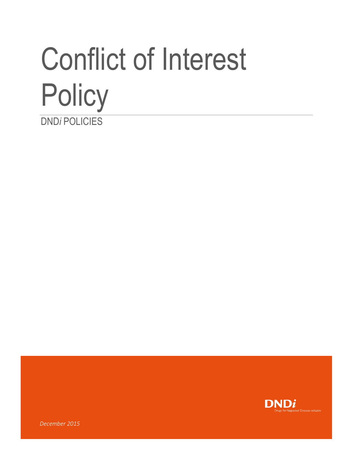# Conflict of Interest **Policy** DND*i* POLICIES



*December 2015*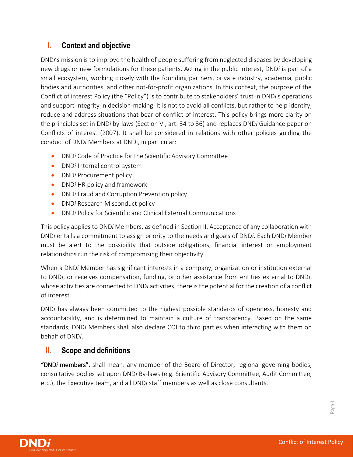# **I. Context and objective**

DND*i*'s mission is to improve the health of people suffering from neglected diseases by developing new drugs or new formulations for these patients. Acting in the public interest, DND*i* is part of a small ecosystem, working closely with the founding partners, private industry, academia, public bodies and authorities, and other not-for-profit organizations. In this context, the purpose of the Conflict of interest Policy (the "Policy") is to contribute to stakeholders' trust in DND*i*'s operations and support integrity in decision-making. It is not to avoid all conflicts, but rather to help identify, reduce and address situations that bear of conflict of interest. This policy brings more clarity on the principles set in DND*i* by-laws (Section VI, art. 34 to 36) and replaces DND*i* Guidance paper on Conflicts of interest (2007). It shall be considered in relations with other policies guiding the conduct of DND*i* Members at DNDi, in particular:

- DND*i* Code of Practice for the Scientific Advisory Committee
- DND*i* Internal control system
- DND*i* Procurement policy
- DND*i* HR policy and framework
- DND*i* Fraud and Corruption Prevention policy
- DND*i* Research Misconduct policy
- DND*i* Policy for Scientific and Clinical External Communications

This policy applies to DND*i* Members, as defined in Section II. Acceptance of any collaboration with DND*i* entails a commitment to assign priority to the needs and goals of DND*i*. Each DND*i* Member must be alert to the possibility that outside obligations, financial interest or employment relationships run the risk of compromising their objectivity.

When a DND*i* Member has significant interests in a company, organization or institution external to DND*i*, or receives compensation, funding, or other assistance from entities external to DND*i*, whose activities are connected to DND*i* activities, there is the potential for the creation of a conflict of interest.

DND*i* has always been committed to the highest possible standards of openness, honesty and accountability, and is determined to maintain a culture of transparency. Based on the same standards, DND*i* Members shall also declare COI to third parties when interacting with them on behalf of DND*i*.

## **II. Scope and definitions**

"DND*i* members", shall mean: any member of the Board of Director, regional governing bodies, consultative bodies set upon DND*i* By-laws (e.g. Scientific Advisory Committee, Audit Committee, etc.), the Executive team, and all DND*i* staff members as well as close consultants.

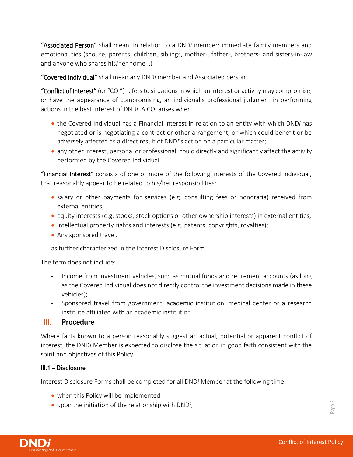"Associated Person" shall mean, in relation to a DND*i* member: immediate family members and emotional ties (spouse, parents, children, siblings, mother-, father-, brothers- and sisters-in-law and anyone who shares his/her home...)

"Covered Individual" shall mean any DND*i* member and Associated person.

"Conflict of Interest" (or "COI") refers to situations in which an interest or activity may compromise, or have the appearance of compromising, an individual's professional judgment in performing actions in the best interest of DND*i*. A COI arises when:

- the Covered Individual has a Financial Interest in relation to an entity with which DND*i* has negotiated or is negotiating a contract or other arrangement, or which could benefit or be adversely affected as a direct result of DND*i*'s action on a particular matter;
- any other interest, personal or professional, could directly and significantly affect the activity performed by the Covered Individual.

"Financial Interest" consists of one or more of the following interests of the Covered Individual, that reasonably appear to be related to his/her responsibilities:

- salary or other payments for services (e.g. consulting fees or honoraria) received from external entities;
- equity interests (e.g. stocks, stock options or other ownership interests) in external entities;
- intellectual property rights and interests (e.g. patents, copyrights, royalties);
- Any sponsored travel.

as further characterized in the Interest Disclosure Form.

The term does not include:

- Income from investment vehicles, such as mutual funds and retirement accounts (as long as the Covered Individual does not directly control the investment decisions made in these vehicles);
- Sponsored travel from government, academic institution, medical center or a research institute affiliated with an academic institution.

## **III. Procedure**

Where facts known to a person reasonably suggest an actual, potential or apparent conflict of interest, the DND*i* Member is expected to disclose the situation in good faith consistent with the spirit and objectives of this Policy.

## **III.1 – Disclosure**

Interest Disclosure Forms shall be completed for all DND*i* Member at the following time:

- when this Policy will be implemented
- upon the initiation of the relationship with DND*i*;

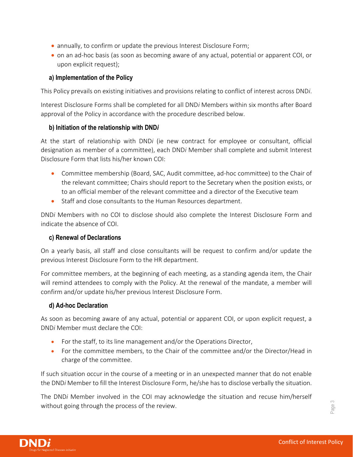- annually, to confirm or update the previous Interest Disclosure Form;
- on an ad-hoc basis (as soon as becoming aware of any actual, potential or apparent COI, or upon explicit request);

#### **a) Implementation of the Policy**

This Policy prevails on existing initiatives and provisions relating to conflict of interest across DND*i*.

Interest Disclosure Forms shall be completed for all DND*i* Members within six months after Board approval of the Policy in accordance with the procedure described below.

#### **b) Initiation of the relationship with DND***i*

At the start of relationship with DND*i* (ie new contract for employee or consultant, official designation as member of a committee), each DND*i* Member shall complete and submit Interest Disclosure Form that lists his/her known COI:

- Committee membership (Board, SAC, Audit committee, ad-hoc committee) to the Chair of the relevant committee; Chairs should report to the Secretary when the position exists, or to an official member of the relevant committee and a director of the Executive team
- Staff and close consultants to the Human Resources department.

DND*i* Members with no COI to disclose should also complete the Interest Disclosure Form and indicate the absence of COI.

#### **c) Renewal of Declarations**

On a yearly basis, all staff and close consultants will be request to confirm and/or update the previous Interest Disclosure Form to the HR department.

For committee members, at the beginning of each meeting, as a standing agenda item, the Chair will remind attendees to comply with the Policy. At the renewal of the mandate, a member will confirm and/or update his/her previous Interest Disclosure Form.

#### **d) Ad-hoc Declaration**

As soon as becoming aware of any actual, potential or apparent COI, or upon explicit request, a DND*i* Member must declare the COI:

- For the staff, to its line management and/or the Operations Director,
- For the committee members, to the Chair of the committee and/or the Director/Head in charge of the committee.

If such situation occur in the course of a meeting or in an unexpected manner that do not enable the DND*i* Member to fill the Interest Disclosure Form, he/she has to disclose verbally the situation.

The DND*i* Member involved in the COI may acknowledge the situation and recuse him/herself without going through the process of the review.

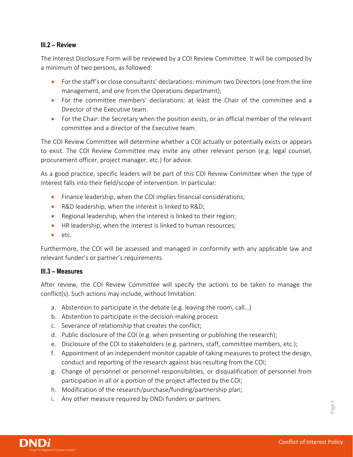#### **III.2 – Review**

The Interest Disclosure Form will be reviewed by a COI Review Committee. It will be composed by a minimum of two persons, as followed:

- For the staff's or close consultants' declarations: minimum two Directors (one from the line management, and one from the Operations department);
- For the committee members' declarations: at least the Chair of the committee and a Director of the Executive team.
- For the Chair: the Secretary when the position exists, or an official member of the relevant committee and a director of the Executive team.

The COI Review Committee will determine whether a COI actually or potentially exists or appears to exist. The COI Review Committee may invite any other relevant person (e.g. legal counsel, procurement officer, project manager, etc.) for advice.

As a good practice, specific leaders will be part of this COI Review Committee when the type of interest falls into their field/scope of intervention. In particular:

- Finance leadership, when the COI implies financial considerations;
- R&D leadership, when the interest is linked to R&D;
- Regional leadership, when the interest is linked to their region;
- HR leadership, when the interest is linked to human resources;
- etc.

Furthermore, the COI will be assessed and managed in conformity with any applicable law and relevant funder's or partner's requirements.

## **III.3 – Measures**

After review, the COI Review Committee will specify the actions to be taken to manage the conflict(s). Such actions may include, without limitation:

- a. Abstention to participate in the debate (e.g. leaving the room, call…)
- b. Abstention to participate in the decision-making process
- c. Severance of relationship that creates the conflict;
- d. Public disclosure of the COI (e.g. when presenting or publishing the research);
- e. Disclosure of the COI to stakeholders (e.g. partners, staff, committee members, etc.);
- f. Appointment of an independent monitor capable of taking measures to protect the design, conduct and reporting of the research against bias resulting from the COI;
- g. Change of personnel or personnel responsibilities, or disqualification of personnel from participation in all or a portion of the project affected by the COI;
- h. Modification of the research/purchase/funding/partnership plan;
- i. Any other measure required by DND*i* funders or partners.



Page 4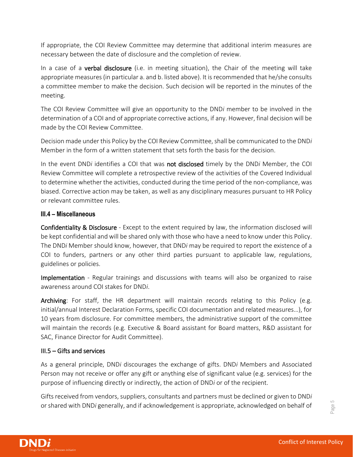If appropriate, the COI Review Committee may determine that additional interim measures are necessary between the date of disclosure and the completion of review.

In a case of a **verbal disclosure** (i.e. in meeting situation), the Chair of the meeting will take appropriate measures (in particular a. and b. listed above). It is recommended that he/she consults a committee member to make the decision. Such decision will be reported in the minutes of the meeting.

The COI Review Committee will give an opportunity to the DND*i* member to be involved in the determination of a COI and of appropriate corrective actions, if any. However, final decision will be made by the COI Review Committee.

Decision made under this Policy by the COI Review Committee, shall be communicated to the DND*i* Member in the form of a written statement that sets forth the basis for the decision.

In the event DND*i* identifies a COI that was not disclosed timely by the DND*i* Member, the COI Review Committee will complete a retrospective review of the activities of the Covered Individual to determine whether the activities, conducted during the time period of the non-compliance, was biased. Corrective action may be taken, as well as any disciplinary measures pursuant to HR Policy or relevant committee rules.

## **III.4 – Miscellaneous**

Confidentiality & Disclosure - Except to the extent required by law, the information disclosed will be kept confidential and will be shared only with those who have a need to know under this Policy. The DND*i* Member should know, however, that DND*i* may be required to report the existence of a COI to funders, partners or any other third parties pursuant to applicable law, regulations, guidelines or policies.

Implementation - Regular trainings and discussions with teams will also be organized to raise awareness around COI stakes for DND*i*.

Archiving: For staff, the HR department will maintain records relating to this Policy (e.g. initial/annual Interest Declaration Forms, specific COI documentation and related measures…), for 10 years from disclosure. For committee members, the administrative support of the committee will maintain the records (e.g. Executive & Board assistant for Board matters, R&D assistant for SAC, Finance Director for Audit Committee).

#### III.5 – Gifts and services

As a general principle, DND*i* discourages the exchange of gifts. DND*i* Members and Associated Person may not receive or offer any gift or anything else of significant value (e.g. services) for the purpose of influencing directly or indirectly, the action of DND*i* or of the recipient.

Gifts received from vendors, suppliers, consultants and partners must be declined or given to DND*i* or shared with DND*i* generally, and if acknowledgement is appropriate, acknowledged on behalf of

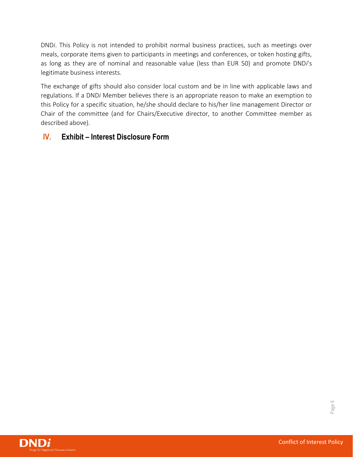DND*i*. This Policy is not intended to prohibit normal business practices, such as meetings over meals, corporate items given to participants in meetings and conferences, or token hosting gifts, as long as they are of nominal and reasonable value (less than EUR 50) and promote DND*i*'s legitimate business interests.

The exchange of gifts should also consider local custom and be in line with applicable laws and regulations. If a DND*i* Member believes there is an appropriate reason to make an exemption to this Policy for a specific situation, he/she should declare to his/her line management Director or Chair of the committee (and for Chairs/Executive director, to another Committee member as described above).

# **IV. Exhibit – Interest Disclosure Form**

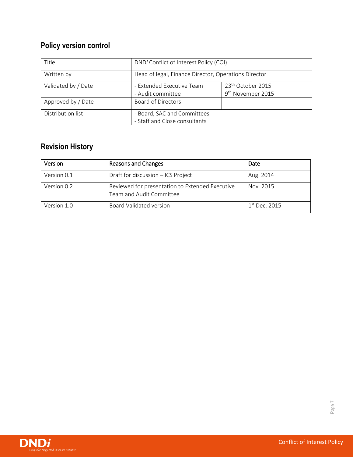# **Policy version control**

| Title               | DNDi Conflict of Interest Policy (COI)                       |                                                                |
|---------------------|--------------------------------------------------------------|----------------------------------------------------------------|
| Written by          | Head of legal, Finance Director, Operations Director         |                                                                |
| Validated by / Date | - Extended Executive Team<br>- Audit committee               | 23 <sup>th</sup> October 2015<br>9 <sup>th</sup> November 2015 |
| Approved by / Date  | <b>Board of Directors</b>                                    |                                                                |
| Distribution list   | - Board, SAC and Committees<br>- Staff and Close consultants |                                                                |

# **Revision History**

| Version     | Reasons and Changes                                                         | Date                      |
|-------------|-----------------------------------------------------------------------------|---------------------------|
| Version 0.1 | Draft for discussion - ICS Project                                          | Aug. 2014                 |
| Version 0.2 | Reviewed for presentation to Extended Executive<br>Team and Audit Committee | Nov. 2015                 |
| Version 1.0 | Board Validated version                                                     | 1 <sup>st</sup> Dec. 2015 |



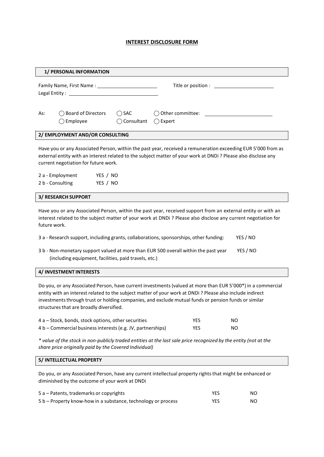#### **INTEREST DISCLOSURE FORM**

| 1/ PERSONAL INFORMATION                                                                                                                                                                                                                                                                                                                                                     |  |  |  |
|-----------------------------------------------------------------------------------------------------------------------------------------------------------------------------------------------------------------------------------------------------------------------------------------------------------------------------------------------------------------------------|--|--|--|
| Title or position : \[\sqmain \]<br>Legal Entity: The Contract of the Contract of the Contract of the Contract of the Contract of the Contract of the Contract of the Contract of the Contract of the Contract of the Contract of the Contract of the Contract of                                                                                                           |  |  |  |
| $\bigcirc$ SAC<br>◯ Board of Directors<br>$\bigcirc$ Other committee:<br>As:<br>Employee<br>$\bigcirc$ Consultant<br>$\bigcap$ Expert                                                                                                                                                                                                                                       |  |  |  |
| 2/ EMPLOYMENT AND/OR CONSULTING                                                                                                                                                                                                                                                                                                                                             |  |  |  |
| Have you or any Associated Person, within the past year, received a remuneration exceeding EUR 5'000 from as<br>external entity with an interest related to the subject matter of your work at DNDi? Please also disclose any<br>current negotiation for future work.<br>2 a - Employment<br>YES / NO<br>2 b - Consulting<br>YES / NO                                       |  |  |  |
| <b>3/ RESEARCH SUPPORT</b>                                                                                                                                                                                                                                                                                                                                                  |  |  |  |
| Have you or any Associated Person, within the past year, received support from an external entity or with an<br>interest related to the subject matter of your work at DNDi? Please also disclose any current negotiation for<br>future work.                                                                                                                               |  |  |  |
| 3 a - Research support, including grants, collaborations, sponsorships, other funding:<br>YES / NO                                                                                                                                                                                                                                                                          |  |  |  |
| YES / NO<br>3 b - Non-monetary support valued at more than EUR 500 overall within the past year<br>(including equipment, facilities, paid travels, etc.)                                                                                                                                                                                                                    |  |  |  |
| 4/ INVESTMENT INTERESTS                                                                                                                                                                                                                                                                                                                                                     |  |  |  |
| Do you, or any Associated Person, have current investments (valued at more than EUR 5'000*) in a commercial<br>entity with an interest related to the subject matter of your work at DNDi? Please also include indirect<br>investments through trust or holding companies, and exclude mutual funds or pension funds or similar<br>structures that are broadly diversified. |  |  |  |

| 4 a – Stock, bonds, stock options, other securities         | YES        | NO. |
|-------------------------------------------------------------|------------|-----|
| 4 b – Commercial business interests (e.g. JV, partnerships) | <b>YES</b> | NO. |

\* value of the stock in non-publicly traded entities at the last sale price recognized by the entity (not at the *share price originally paid by the Covered Individual)*

#### **5/ INTELLECTUAL PROPERTY**

Do you, or any Associated Person, have any current intellectual property rights that might be enhanced or diminished by the outcome of your work at DNDi

| 5 a – Patents, trademarks or copyrights                       | <b>YES</b> | NO. |
|---------------------------------------------------------------|------------|-----|
| 5 b – Property know-how in a substance, technology or process | YES        | NO. |